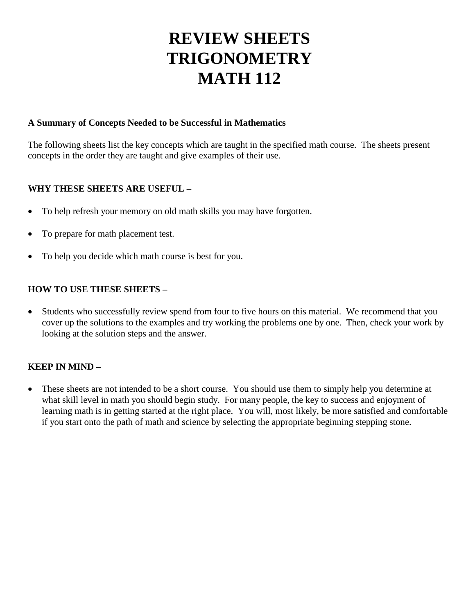# **REVIEW SHEETS TRIGONOMETRY MATH 112**

# **A Summary of Concepts Needed to be Successful in Mathematics**

The following sheets list the key concepts which are taught in the specified math course. The sheets present concepts in the order they are taught and give examples of their use.

# **WHY THESE SHEETS ARE USEFUL –**

- To help refresh your memory on old math skills you may have forgotten.
- To prepare for math placement test.
- To help you decide which math course is best for you.

# **HOW TO USE THESE SHEETS –**

• Students who successfully review spend from four to five hours on this material. We recommend that you cover up the solutions to the examples and try working the problems one by one. Then, check your work by looking at the solution steps and the answer.

# **KEEP IN MIND –**

• These sheets are not intended to be a short course. You should use them to simply help you determine at what skill level in math you should begin study. For many people, the key to success and enjoyment of learning math is in getting started at the right place. You will, most likely, be more satisfied and comfortable if you start onto the path of math and science by selecting the appropriate beginning stepping stone.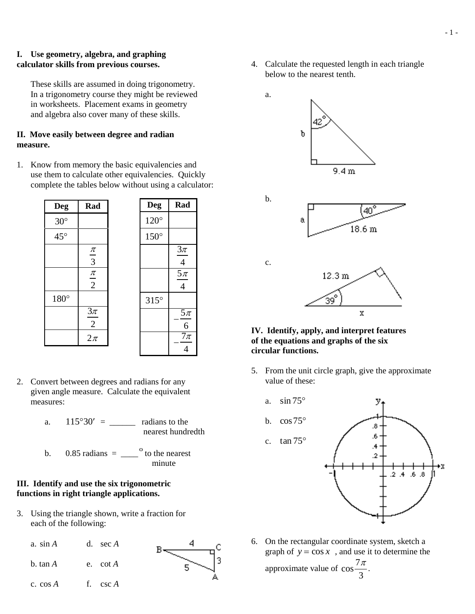### **I. Use geometry, algebra, and graphing calculator skills from previous courses.**

These skills are assumed in doing trigonometry. In a trigonometry course they might be reviewed in worksheets. Placement exams in geometry and algebra also cover many of these skills.

# **II. Move easily between degree and radian measure.**

1. Know from memory the basic equivalencies and use them to calculate other equivalencies. Quickly complete the tables below without using a calculator:

| <b>Deg</b>   | Rad              | <b>Deg</b>  | Rad                              |
|--------------|------------------|-------------|----------------------------------|
| $30^\circ$   |                  | $120^\circ$ |                                  |
| $45^{\circ}$ |                  | $150^\circ$ |                                  |
|              | $rac{\pi}{3}$    |             | $3\pi$<br>$\overline{4}$         |
|              | $\frac{\pi}{2}$  |             | $rac{5\pi}{2}$<br>$\overline{4}$ |
| 180°         |                  | $315^\circ$ |                                  |
|              | $\frac{3\pi}{2}$ |             | $\frac{5\pi}{6}$                 |
|              | $2\pi$           |             | $\overline{7\pi}$                |

- 2. Convert between degrees and radians for any given angle measure. Calculate the equivalent measures:
	- a.  $115^{\circ}30' =$  radians to the nearest hundredth
	- b.  $0.85$  radians  $=$   $\frac{0.85 \text{ radians}}{0.85 \text{ radians}}$ minute

# **III. Identify and use the six trigonometric functions in right triangle applications.**

3. Using the triangle shown, write a fraction for each of the following:



4. Calculate the requested length in each triangle below to the nearest tenth.





#### **IV. Identify, apply, and interpret features of the equations and graphs of the six circular functions.**

5. From the unit circle graph, give the approximate value of these:



6. On the rectangular coordinate system, sketch a graph of  $y = \cos x$ , and use it to determine the

approximate value of  $\cos \frac{7\pi}{2}$  $\frac{\pi}{3}$ .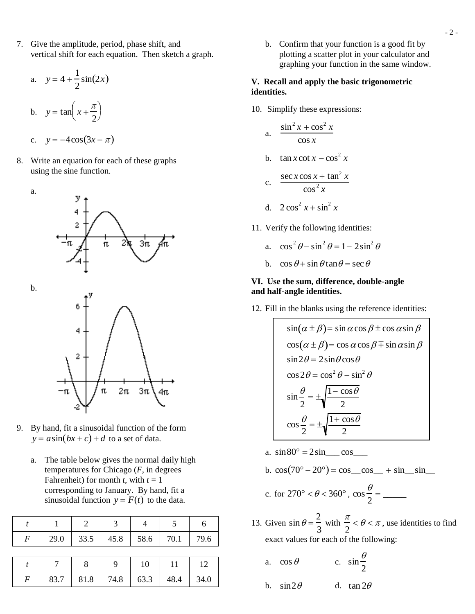7. Give the amplitude, period, phase shift, and vertical shift for each equation. Then sketch a graph.

$$
a. \quad y = 4 + \frac{1}{2}\sin(2x)
$$

b. 
$$
y = \tan\left(x + \frac{\pi}{2}\right)
$$

$$
y = -4\cos(3x - \pi)
$$

8. Write an equation for each of these graphs using the sine function.

a. 3π. π b. π  $2\pi$  $3<sub>π</sub>$ 

- 9. By hand, fit a sinusoidal function of the form  $y = a\sin(bx + c) + d$  to a set of data.
	- a. The table below gives the normal daily high temperatures for Chicago (*F*, in degrees Fahrenheit) for month *t*, with  $t = 1$ corresponding to January. By hand, fit a sinusoidal function  $y = F(t)$  to the data.

|                  |      | 2    | 3    |      |      |      |
|------------------|------|------|------|------|------|------|
| $\boldsymbol{F}$ | 29.0 | 33.5 | 45.8 | 58.6 | 70.1 | 79.6 |
|                  |      |      |      |      |      |      |
|                  |      | 8    | q    | 10   | 11   | 12   |
| $\overline{F}$   | 83.7 | 81.8 | 74.8 | 63.3 | 48.4 | 34.0 |

b. Confirm that your function is a good fit by plotting a scatter plot in your calculator and graphing your function in the same window.

## **V. Recall and apply the basic trigonometric identities.**

10. Simplify these expressions:

a. 
$$
\frac{\sin^2 x + \cos^2 x}{\cos x}
$$

b. 
$$
\tan x \cot x - \cos^2 x
$$

c. 
$$
\frac{\sec x \cos x + \tan^2 x}{\cos^2 x}
$$

- d.  $2\cos^2 x + \sin^2 x$
- 11. Verify the following identities:

a. 
$$
\cos^2 \theta - \sin^2 \theta = 1 - 2\sin^2 \theta
$$

b.  $\cos \theta + \sin \theta \tan \theta = \sec \theta$ 

#### **VI. Use the sum, difference, double-angle and half-angle identities.**

12. Fill in the blanks using the reference identities:

 $\sin(\alpha \pm \beta) = \sin \alpha \cos \beta \pm \cos \alpha \sin \beta$  $\cos(\alpha \pm \beta) = \cos \alpha \cos \beta \mp \sin \alpha \sin \beta$  $\sin 2\theta = 2\sin \theta \cos \theta$  $\cos 2\theta = \cos^2 \theta - \sin^2 \theta$  $\sin\frac{\theta}{2} = \pm \sqrt{\frac{1-\cos\theta}{2}}$  $\cos\frac{\theta}{2} = \pm \sqrt{\frac{1+\cos\theta}{2}}$ 

a.  $\sin 80^\circ = 2\sin \cos \theta$ 

b. 
$$
cos(70^{\circ} - 20^{\circ}) = cos\_cos\_ + sin\_sin\_
$$

c. for 
$$
270^{\circ} < \theta < 360^{\circ}
$$
,  $\cos \frac{\theta}{2} =$ 

- 13. Given  $\sin \theta = \frac{2}{3}$ 3 with  $\frac{\pi}{2}$ 2  $< \theta < \pi$ , use identities to find exact values for each of the following:
	- a.  $\cos \theta$  c.  $\sin \frac{\theta}{2}$ 2
	- b.  $\sin 2\theta$  d.  $\tan 2\theta$

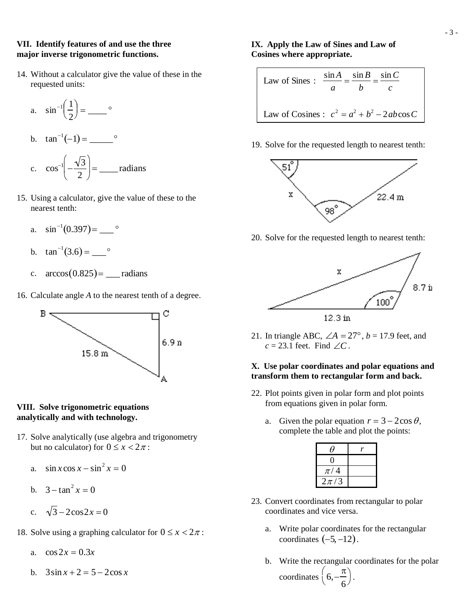#### **VII. Identify features of and use the three major inverse trigonometric functions.**

14. Without a calculator give the value of these in the requested units:

a. 
$$
\sin^{-1}\left(\frac{1}{2}\right) = \underline{\hspace{1cm}}^{\circ}
$$
  
\nb.  $\tan^{-1}(-1) = \underline{\hspace{1cm}}^{\circ}$   
\nc.  $\cos^{-1}\left(-\frac{\sqrt{3}}{2}\right) = \underline{\hspace{1cm}}^{\circ}$  radians

- 15. Using a calculator, give the value of these to the nearest tenth:
	- a. sin <sup>−</sup><sup>1</sup> (0.397)= \_\_\_ °
	- b.  $\tan^{-1}(3.6) = \underline{\hspace{1cm}}^{\circ}$
	- c.  $\arccos(0.825) =$  radians
- 16. Calculate angle *A* to the nearest tenth of a degree.



## **VIII. Solve trigonometric equations analytically and with technology.**

- 17. Solve analytically (use algebra and trigonometry but no calculator) for  $0 \le x < 2\pi$ :
	- a.  $\sin x \cos x \sin^2 x = 0$
	- b.  $3 \tan^2 x = 0$
	- c.  $\sqrt{3} 2\cos 2x = 0$
- 18. Solve using a graphing calculator for  $0 \le x < 2\pi$ :
	- a.  $\cos 2x = 0.3x$
	- b.  $3\sin x + 2 = 5 2\cos x$

# **IX. Apply the Law of Sines and Law of Cosines where appropriate.**

Law of Sines : 
$$
\frac{\sin A}{a} = \frac{\sin B}{b} = \frac{\sin C}{c}
$$
  
Law of Cosines : 
$$
c^2 = a^2 + b^2 - 2ab \cos C
$$

19. Solve for the requested length to nearest tenth:



20. Solve for the requested length to nearest tenth:



21. In triangle ABC,  $\angle A = 27^\circ$ ,  $b = 17.9$  feet, and *c* = 23.1 feet. Find ∠*C*.

## **X. Use polar coordinates and polar equations and transform them to rectangular form and back.**

- 22. Plot points given in polar form and plot points from equations given in polar form.
	- a. Given the polar equation  $r = 3 2\cos\theta$ , complete the table and plot the points:

| $\theta$ |  |
|----------|--|
|          |  |
| $\pi/4$  |  |
| $2\pi/3$ |  |

- 23. Convert coordinates from rectangular to polar coordinates and vice versa.
	- a. Write polar coordinates for the rectangular coordinates  $(-5, -12)$ .
	- b. Write the rectangular coordinates for the polar coordinates  $\left(6, -\frac{\pi}{6}\right)$ 6  $\left(6, -\frac{\pi}{6}\right)$ .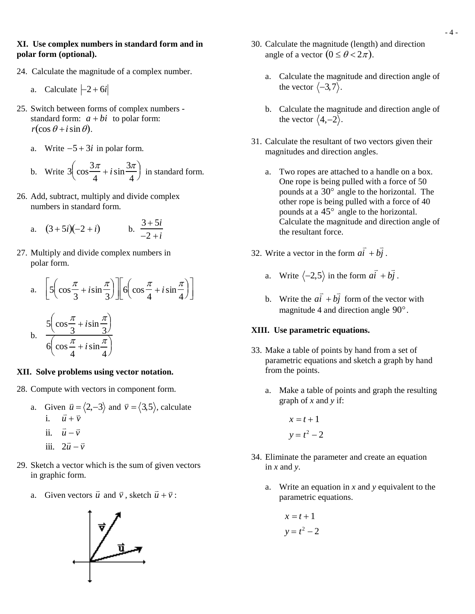#### **XI. Use complex numbers in standard form and in polar form (optional).**

- 24. Calculate the magnitude of a complex number.
	- a. Calculate  $|-2 + 6i|$
- 25. Switch between forms of complex numbers standard form:  $a + bi$  to polar form:  $r(\cos\theta + i\sin\theta)$ .
	- a. Write −5 + 3*i* in polar form.

b. Write 
$$
3\left(\cos\frac{3\pi}{4} + i\sin\frac{3\pi}{4}\right)
$$
 in standard form.

26. Add, subtract, multiply and divide complex numbers in standard form.

a. 
$$
(3+5i)(-2+i)
$$
 b.  $\frac{3+5i}{-2+i}$ 

27. Multiply and divide complex numbers in polar form.

a. 
$$
\left[5\left(\cos\frac{\pi}{3} + i\sin\frac{\pi}{3}\right)\right] \left[6\left(\cos\frac{\pi}{4} + i\sin\frac{\pi}{4}\right)\right]
$$
  
b.  $\frac{5\left(\cos\frac{\pi}{3} + i\sin\frac{\pi}{3}\right)}{6\left(\cos\frac{\pi}{4} + i\sin\frac{\pi}{4}\right)}$ 

 $\overline{1}$  $\perp$ 

#### **XII. Solve problems using vector notation.**

- 28. Compute with vectors in component form.
	- a. Given  $\vec{u} = \langle 2, -3 \rangle$  and  $\vec{v} = \langle 3, 5 \rangle$ , calculate iii. 2  $\vec{u}$  +  $\vec{v}$ <br>i.  $\vec{u} + \vec{v}$ ii.  $\vec{u} - \vec{v}$  $\vec{u} - \vec{v}$
- 29. Sketch a vector which is the sum of given vectors in graphic form.
	- a. Given vectors  $\vec{u}$  $\overline{a}$  $\vec{u}$  and  $\vec{v}$ , sketch  $\vec{u}$  $\vec{u} + \vec{v}$ :



- 30. Calculate the magnitude (length) and direction angle of a vector  $(0 \le \theta < 2\pi)$ .
	- a. Calculate the magnitude and direction angle of the vector  $\langle -3, 7 \rangle$ .
	- b. Calculate the magnitude and direction angle of the vector  $\langle 4,-2 \rangle$ .
- 31. Calculate the resultant of two vectors given their magnitudes and direction angles.
	- a. Two ropes are attached to a handle on a box. One rope is being pulled with a force of 50 pounds at a 30° angle to the horizontal. The other rope is being pulled with a force of 40 pounds at a 45° angle to the horizontal. Calculate the magnitude and direction angle of the resultant force.
- 32. Write a vector in the form *a*  $\overline{a}$  $\overline{i}$  + *b*  $\overline{a}$ *j* .
	- a. Write  $\langle -2, 5 \rangle$  in the form *a*  $\overline{a}$  $\overline{i} + b$  $\overline{a}$ *j* .
	- b. Write the *a*  $\overline{a}$  $\overline{i}$  + *b*<sub>2</sub>  $\Rightarrow$ *j* form of the vector with magnitude 4 and direction angle 90°.

#### **XIII. Use parametric equations.**

- 33. Make a table of points by hand from a set of parametric equations and sketch a graph by hand from the points.
	- a. Make a table of points and graph the resulting graph of *x* and *y* if:

$$
x = t + 1
$$

$$
y = t^2 - 2
$$

- 34. Eliminate the parameter and create an equation in *x* and *y*.
	- a. Write an equation in *x* and *y* equivalent to the parametric equations.

$$
x = t + 1
$$

$$
y = t^2 - 2
$$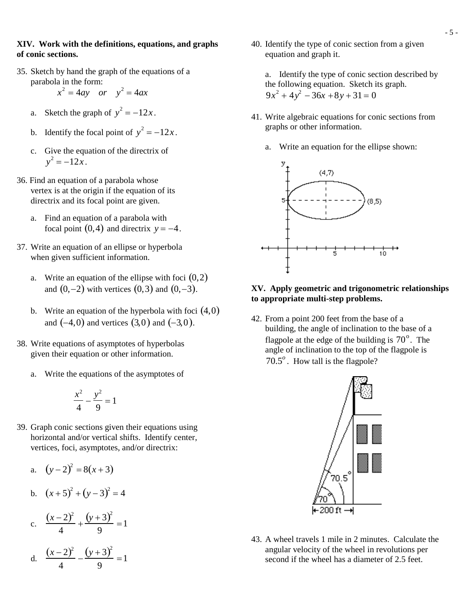#### **XIV. Work with the definitions, equations, and graphs of conic sections.**

35. Sketch by hand the graph of the equations of a parabola in the form:

$$
x^2 = 4ay \quad or \quad y^2 = 4ax
$$

- a. Sketch the graph of  $y^2 = -12x$ .
- b. Identify the focal point of  $y^2 = -12x$ .
- c. Give the equation of the directrix of  $y^2 = -12x$ .
- 36. Find an equation of a parabola whose vertex is at the origin if the equation of its directrix and its focal point are given.
	- a. Find an equation of a parabola with focal point  $(0,4)$  and directrix  $y = -4$ .
- 37. Write an equation of an ellipse or hyperbola when given sufficient information.
	- a. Write an equation of the ellipse with foci  $(0,2)$ and  $(0,-2)$  with vertices  $(0,3)$  and  $(0,-3)$ .
	- b. Write an equation of the hyperbola with foci  $(4,0)$ and  $(-4,0)$  and vertices  $(3,0)$  and  $(-3,0)$ .
- 38. Write equations of asymptotes of hyperbolas given their equation or other information.
	- Write the equations of the asymptotes of

$$
\frac{x^2}{4} - \frac{y^2}{9} = 1
$$

39. Graph conic sections given their equations using horizontal and/or vertical shifts. Identify center, vertices, foci, asymptotes, and/or directrix:

a. 
$$
(y-2)^2 = 8(x+3)
$$

b. 
$$
(x+5)^2 + (y-3)^2 = 4
$$

c. 
$$
\frac{(x-2)^2}{4} + \frac{(y+3)^2}{9} = 1
$$

d. 
$$
\frac{(x-2)^2}{4} - \frac{(y+3)^2}{9} = 1
$$

40. Identify the type of conic section from a given equation and graph it.

a. Identify the type of conic section described by the following equation. Sketch its graph.  $9x^2 + 4y^2 - 36x + 8y + 31 = 0$ 

- 41. Write algebraic equations for conic sections from graphs or other information.
	- a. Write an equation for the ellipse shown:



### **XV. Apply geometric and trigonometric relationships to appropriate multi-step problems.**

42. From a point 200 feet from the base of a building, the angle of inclination to the base of a flagpole at the edge of the building is  $70^\circ$ . The angle of inclination to the top of the flagpole is 70.5°. How tall is the flagpole?



43. A wheel travels 1 mile in 2 minutes. Calculate the angular velocity of the wheel in revolutions per second if the wheel has a diameter of 2.5 feet.